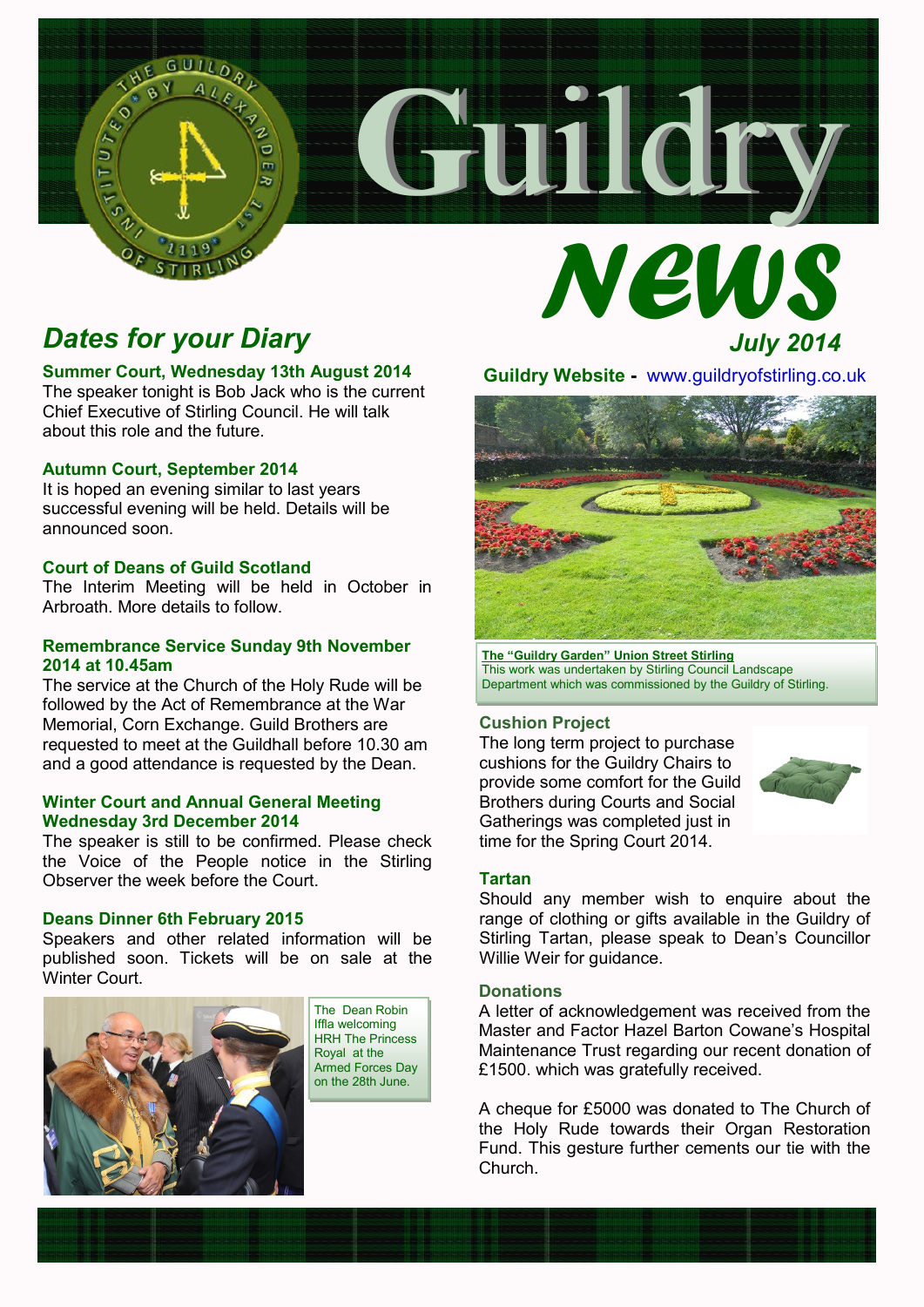# *Dates for your Diary*

### **Summer Court, Wednesday 13th August 2014**

The speaker tonight is Bob Jack who is the current Chief Executive of Stirling Council. He will talk about this role and the future.

### **Autumn Court, September 2014**

It is hoped an evening similar to last years successful evening will be held. Details will be announced soon.

### **Court of Deans of Guild Scotland**

The Interim Meeting will be held in October in Arbroath. More details to follow.

### **Remembrance Service Sunday 9th November 2014 at 10.45am**

The service at the Church of the Holy Rude will be followed by the Act of Remembrance at the War Memorial, Corn Exchange. Guild Brothers are requested to meet at the Guildhall before 10.30 am and a good attendance is requested by the Dean.

### **Winter Court and Annual General Meeting Wednesday 3rd December 2014**

The speaker is still to be confirmed. Please check the Voice of the People notice in the Stirling Observer the week before the Court.

### **Deans Dinner 6th February 2015**

Speakers and other related information will be published soon. Tickets will be on sale at the Winter Court.



The Dean Robin Iffla welcoming HRH The Princess Royal at the Armed Forces Day on the 28th June.

**Guildry Website -** www.guildryofstirling.co.uk

 **G**uildry

 *NEWS*



**The "Guildry Garden" Union Street Stirling** This work was undertaken by Stirling Council Landscape Department which was commissioned by the Guildry of Stirling.

### **Cushion Project**

The long term project to purchase cushions for the Guildry Chairs to provide some comfort for the Guild Brothers during Courts and Social Gatherings was completed just in time for the Spring Court 2014.



*July 2014*

### **Tartan**

Should any member wish to enquire about the range of clothing or gifts available in the Guildry of Stirling Tartan, please speak to Dean's Councillor Willie Weir for guidance.

### **Donations**

A letter of acknowledgement was received from the Master and Factor Hazel Barton Cowane's Hospital Maintenance Trust regarding our recent donation of £1500. which was gratefully received.

A cheque for £5000 was donated to The Church of the Holy Rude towards their Organ Restoration Fund. This gesture further cements our tie with the Church.